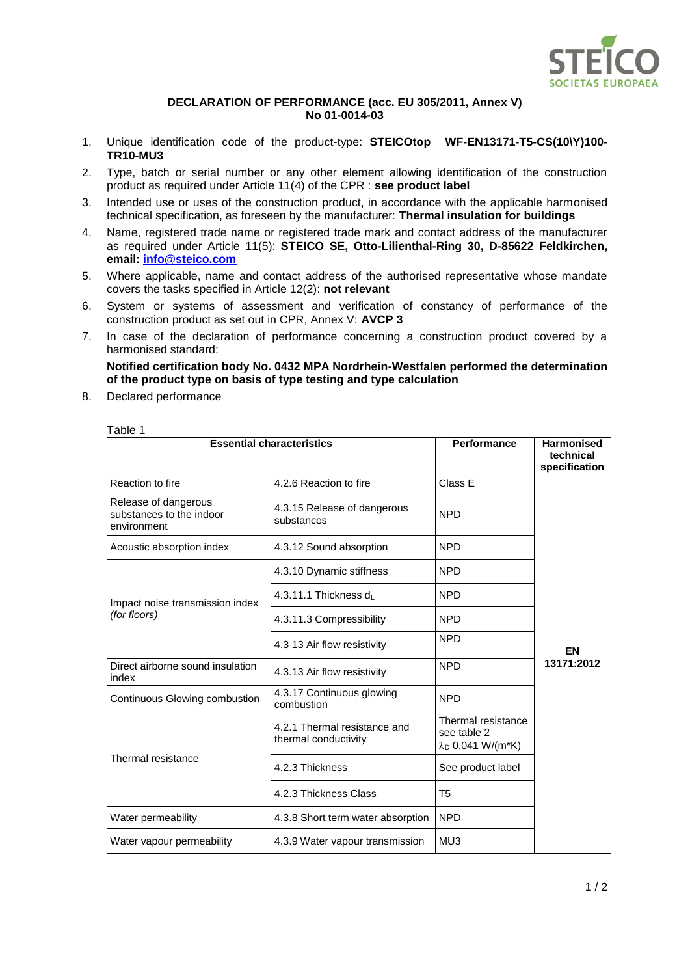

## **DECLARATION OF PERFORMANCE (acc. EU 305/2011, Annex V) No 01-0014-03**

- 1. Unique identification code of the product-type: **STEICOtop WF-EN13171-T5-CS(10\Y)100- TR10-MU3**
- 2. Type, batch or serial number or any other element allowing identification of the construction product as required under Article 11(4) of the CPR : **see product label**
- 3. Intended use or uses of the construction product, in accordance with the applicable harmonised technical specification, as foreseen by the manufacturer: **Thermal insulation for buildings**
- 4. Name, registered trade name or registered trade mark and contact address of the manufacturer as required under Article 11(5): **STEICO SE, Otto-Lilienthal-Ring 30, D-85622 Feldkirchen, email: [info@steico.com](mailto:info@steico.com)**
- 5. Where applicable, name and contact address of the authorised representative whose mandate covers the tasks specified in Article 12(2): **not relevant**
- 6. System or systems of assessment and verification of constancy of performance of the construction product as set out in CPR, Annex V: **AVCP 3**
- 7. In case of the declaration of performance concerning a construction product covered by a harmonised standard:

**Notified certification body No. 0432 MPA Nordrhein-Westfalen performed the determination of the product type on basis of type testing and type calculation**

8. Declared performance

Table 1

|                                                                 | <b>Essential characteristics</b>                     | Performance                                                       | <b>Harmonised</b><br>technical<br>specification |
|-----------------------------------------------------------------|------------------------------------------------------|-------------------------------------------------------------------|-------------------------------------------------|
| Reaction to fire                                                | 4.2.6 Reaction to fire                               | Class E                                                           |                                                 |
| Release of dangerous<br>substances to the indoor<br>environment | 4.3.15 Release of dangerous<br>substances            | <b>NPD</b>                                                        |                                                 |
| Acoustic absorption index                                       | 4.3.12 Sound absorption                              | <b>NPD</b>                                                        |                                                 |
| Impact noise transmission index<br>(for floors)                 | 4.3.10 Dynamic stiffness                             | <b>NPD</b>                                                        |                                                 |
|                                                                 | 4.3.11.1 Thickness d                                 | <b>NPD</b>                                                        |                                                 |
|                                                                 | 4.3.11.3 Compressibility                             | <b>NPD</b>                                                        |                                                 |
|                                                                 | 4.3 13 Air flow resistivity                          | <b>NPD</b>                                                        | EN                                              |
| Direct airborne sound insulation<br>index                       | 4.3.13 Air flow resistivity                          | <b>NPD</b>                                                        | 13171:2012                                      |
| Continuous Glowing combustion                                   | 4.3.17 Continuous glowing<br>combustion              | <b>NPD</b>                                                        |                                                 |
| Thermal resistance                                              | 4.2.1 Thermal resistance and<br>thermal conductivity | Thermal resistance<br>see table 2<br>λ <sub>D</sub> 0,041 W/(m*K) |                                                 |
|                                                                 | 4.2.3 Thickness                                      | See product label                                                 |                                                 |
|                                                                 | 4.2.3 Thickness Class                                | T <sub>5</sub>                                                    |                                                 |
| Water permeability                                              | 4.3.8 Short term water absorption                    | <b>NPD</b>                                                        |                                                 |
| Water vapour permeability                                       | 4.3.9 Water vapour transmission                      | MU3                                                               |                                                 |